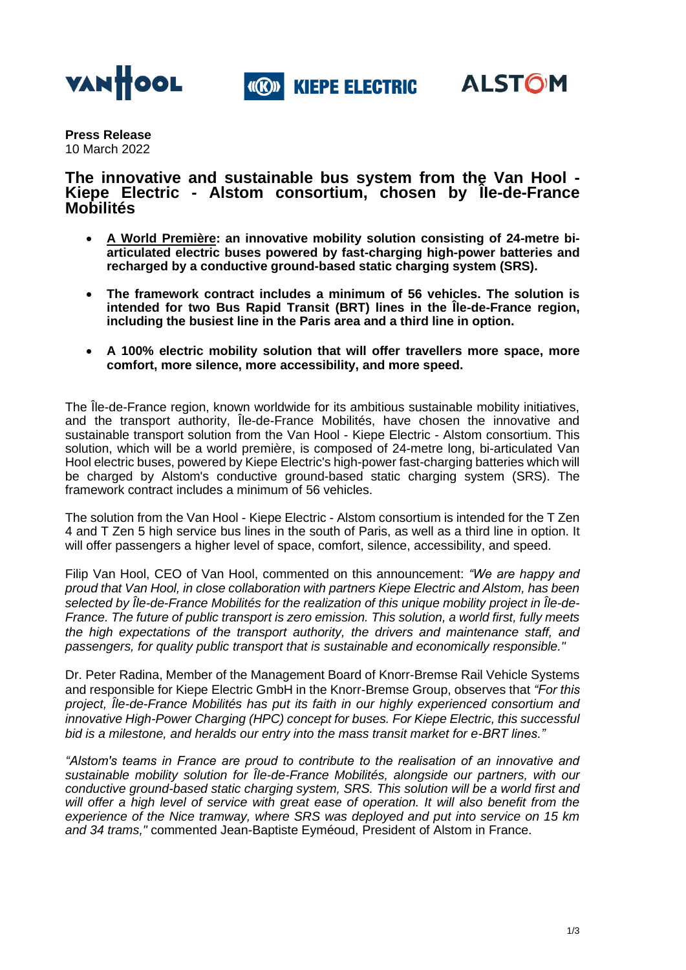

**«(R)» KIEPE ELECTRIC** 



**Press Release** 10 March 2022

**The innovative and sustainable bus system from the Van Hool - Kiepe Electric - Alstom consortium, chosen by ÎIe-de-France Mobilités**

- **A World Première: an innovative mobility solution consisting of 24-metre biarticulated electric buses powered by fast-charging high-power batteries and recharged by a conductive ground-based static charging system (SRS).**
- **The framework contract includes a minimum of 56 vehicles. The solution is intended for two Bus Rapid Transit (BRT) lines in the Île-de-France region, including the busiest line in the Paris area and a third line in option.**
- **A 100% electric mobility solution that will offer travellers more space, more comfort, more silence, more accessibility, and more speed.**

The Ile-de-France region, known worldwide for its ambitious sustainable mobility initiatives, and the transport authority, Île-de-France Mobilités, have chosen the innovative and sustainable transport solution from the Van Hool - Kiepe Electric - Alstom consortium. This solution, which will be a world première, is composed of 24-metre long, bi-articulated Van Hool electric buses, powered by Kiepe Electric's high-power fast-charging batteries which will be charged by Alstom's conductive ground-based static charging system (SRS). The framework contract includes a minimum of 56 vehicles.

The solution from the Van Hool - Kiepe Electric - Alstom consortium is intended for the T Zen 4 and T Zen 5 high service bus lines in the south of Paris, as well as a third line in option. It will offer passengers a higher level of space, comfort, silence, accessibility, and speed.

Filip Van Hool, CEO of Van Hool, commented on this announcement: *"We are happy and proud that Van Hool, in close collaboration with partners Kiepe Electric and Alstom, has been selected by Île-de-France Mobilités for the realization of this unique mobility project in Île-de-France. The future of public transport is zero emission. This solution, a world first, fully meets the high expectations of the transport authority, the drivers and maintenance staff, and passengers, for quality public transport that is sustainable and economically responsible."*

Dr. Peter Radina, Member of the Management Board of Knorr-Bremse Rail Vehicle Systems and responsible for Kiepe Electric GmbH in the Knorr-Bremse Group, observes that *"For this project, Île-de-France Mobilités has put its faith in our highly experienced consortium and innovative High-Power Charging (HPC) concept for buses. For Kiepe Electric, this successful bid is a milestone, and heralds our entry into the mass transit market for e-BRT lines."*

*"Alstom's teams in France are proud to contribute to the realisation of an innovative and sustainable mobility solution for Île-de-France Mobilités, alongside our partners, with our conductive ground-based static charging system, SRS. This solution will be a world first and*  will offer a high level of service with great ease of operation. It will also benefit from the *experience of the Nice tramway, where SRS was deployed and put into service on 15 km and 34 trams,"* commented Jean-Baptiste Eyméoud, President of Alstom in France.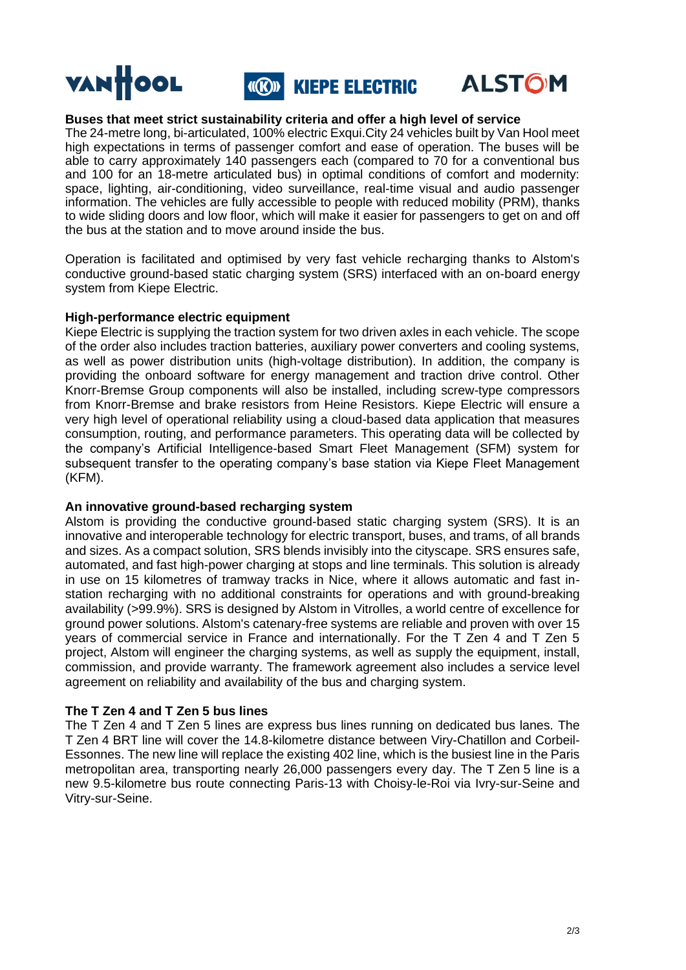

# **Buses that meet strict sustainability criteria and offer a high level of service**

The 24-metre long, bi-articulated, 100% electric Exqui.City 24 vehicles built by Van Hool meet high expectations in terms of passenger comfort and ease of operation. The buses will be able to carry approximately 140 passengers each (compared to 70 for a conventional bus and 100 for an 18-metre articulated bus) in optimal conditions of comfort and modernity: space, lighting, air-conditioning, video surveillance, real-time visual and audio passenger information. The vehicles are fully accessible to people with reduced mobility (PRM), thanks to wide sliding doors and low floor, which will make it easier for passengers to get on and off the bus at the station and to move around inside the bus.

Operation is facilitated and optimised by very fast vehicle recharging thanks to Alstom's conductive ground-based static charging system (SRS) interfaced with an on-board energy system from Kiepe Electric.

## **High-performance electric equipment**

Kiepe Electric is supplying the traction system for two driven axles in each vehicle. The scope of the order also includes traction batteries, auxiliary power converters and cooling systems, as well as power distribution units (high-voltage distribution). In addition, the company is providing the onboard software for energy management and traction drive control. Other Knorr-Bremse Group components will also be installed, including screw-type compressors from Knorr-Bremse and brake resistors from Heine Resistors. Kiepe Electric will ensure a very high level of operational reliability using a cloud-based data application that measures consumption, routing, and performance parameters. This operating data will be collected by the company's Artificial Intelligence-based Smart Fleet Management (SFM) system for subsequent transfer to the operating company's base station via Kiepe Fleet Management (KFM).

## **An innovative ground-based recharging system**

Alstom is providing the conductive ground-based static charging system (SRS). It is an innovative and interoperable technology for electric transport, buses, and trams, of all brands and sizes. As a compact solution, SRS blends invisibly into the cityscape. SRS ensures safe, automated, and fast high-power charging at stops and line terminals. This solution is already in use on 15 kilometres of tramway tracks in Nice, where it allows automatic and fast instation recharging with no additional constraints for operations and with ground-breaking availability (>99.9%). SRS is designed by Alstom in Vitrolles, a world centre of excellence for ground power solutions. Alstom's catenary-free systems are reliable and proven with over 15 years of commercial service in France and internationally. For the T Zen 4 and T Zen 5 project, Alstom will engineer the charging systems, as well as supply the equipment, install, commission, and provide warranty. The framework agreement also includes a service level agreement on reliability and availability of the bus and charging system.

# **The T Zen 4 and T Zen 5 bus lines**

The T Zen 4 and T Zen 5 lines are express bus lines running on dedicated bus lanes. The T Zen 4 BRT line will cover the 14.8-kilometre distance between Viry-Chatillon and Corbeil-Essonnes. The new line will replace the existing 402 line, which is the busiest line in the Paris metropolitan area, transporting nearly 26,000 passengers every day. The T Zen 5 line is a new 9.5-kilometre bus route connecting Paris-13 with Choisy-le-Roi via Ivry-sur-Seine and Vitry-sur-Seine.